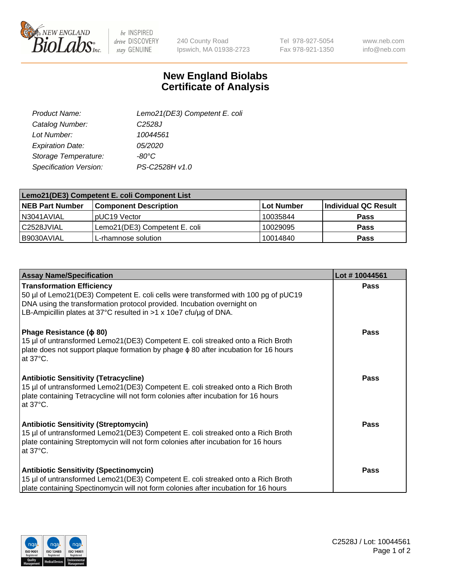

 $be$  INSPIRED drive DISCOVERY stay GENUINE

240 County Road Ipswich, MA 01938-2723 Tel 978-927-5054 Fax 978-921-1350

www.neb.com info@neb.com

## **New England Biolabs Certificate of Analysis**

| Lemo21(DE3) Competent E. coli |
|-------------------------------|
| C <sub>2528</sub> J           |
| 10044561                      |
| 05/2020                       |
| -80°C                         |
| PS-C2528H v1.0                |
|                               |

| Lemo21(DE3) Competent E. coli Component List |                               |                   |                             |  |
|----------------------------------------------|-------------------------------|-------------------|-----------------------------|--|
| <b>NEB Part Number</b>                       | <b>Component Description</b>  | <b>Lot Number</b> | <b>Individual QC Result</b> |  |
| I N3041AVIAL                                 | IpUC19 Vector                 | 10035844          | Pass                        |  |
| C2528JVIAL                                   | Lemo21(DE3) Competent E. coli | 10029095          | <b>Pass</b>                 |  |
| B9030AVIAL                                   | L-rhamnose solution           | 10014840          | <b>Pass</b>                 |  |

| <b>Assay Name/Specification</b>                                                                                                                                                                                                                                        | Lot #10044561 |
|------------------------------------------------------------------------------------------------------------------------------------------------------------------------------------------------------------------------------------------------------------------------|---------------|
| <b>Transformation Efficiency</b><br>50 µl of Lemo21(DE3) Competent E. coli cells were transformed with 100 pg of pUC19<br>DNA using the transformation protocol provided. Incubation overnight on<br>LB-Ampicillin plates at 37°C resulted in >1 x 10e7 cfu/ug of DNA. | <b>Pass</b>   |
| Phage Resistance ( $\phi$ 80)<br>15 µl of untransformed Lemo21(DE3) Competent E. coli streaked onto a Rich Broth<br>plate does not support plaque formation by phage φ 80 after incubation for 16 hours<br>at $37^{\circ}$ C.                                          | Pass          |
| <b>Antibiotic Sensitivity (Tetracycline)</b><br>15 µl of untransformed Lemo21(DE3) Competent E. coli streaked onto a Rich Broth<br>plate containing Tetracycline will not form colonies after incubation for 16 hours<br>at 37°C.                                      | <b>Pass</b>   |
| <b>Antibiotic Sensitivity (Streptomycin)</b><br>15 µl of untransformed Lemo21(DE3) Competent E. coli streaked onto a Rich Broth<br>plate containing Streptomycin will not form colonies after incubation for 16 hours<br>at $37^{\circ}$ C.                            | <b>Pass</b>   |
| <b>Antibiotic Sensitivity (Spectinomycin)</b><br>15 µl of untransformed Lemo21(DE3) Competent E. coli streaked onto a Rich Broth<br>plate containing Spectinomycin will not form colonies after incubation for 16 hours                                                | <b>Pass</b>   |